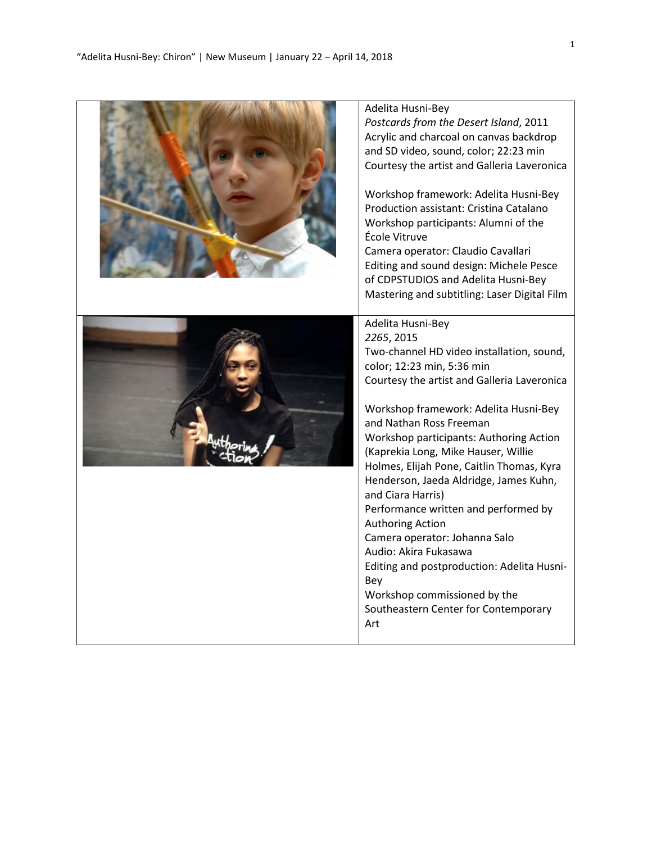| Adelita Husni-Bey<br>Postcards from the Desert Island, 2011<br>Acrylic and charcoal on canvas backdrop<br>and SD video, sound, color; 22:23 min<br>Courtesy the artist and Galleria Laveronica<br>Workshop framework: Adelita Husni-Bey<br>Production assistant: Cristina Catalano<br>Workshop participants: Alumni of the<br>École Vitruve<br>Camera operator: Claudio Cavallari<br>Editing and sound design: Michele Pesce<br>of CDPSTUDIOS and Adelita Husni-Bey<br>Mastering and subtitling: Laser Digital Film                                                                                                                                                                          |
|----------------------------------------------------------------------------------------------------------------------------------------------------------------------------------------------------------------------------------------------------------------------------------------------------------------------------------------------------------------------------------------------------------------------------------------------------------------------------------------------------------------------------------------------------------------------------------------------------------------------------------------------------------------------------------------------|
| Adelita Husni-Bey<br>2265, 2015<br>Two-channel HD video installation, sound,<br>color; 12:23 min, 5:36 min<br>Courtesy the artist and Galleria Laveronica<br>Workshop framework: Adelita Husni-Bey<br>and Nathan Ross Freeman<br><b>Workshop participants: Authoring Action</b><br>(Kaprekia Long, Mike Hauser, Willie<br>Holmes, Elijah Pone, Caitlin Thomas, Kyra<br>Henderson, Jaeda Aldridge, James Kuhn,<br>and Ciara Harris)<br>Performance written and performed by<br>Authoring Action<br>Camera operator: Johanna Salo<br>Audio: Akira Fukasawa<br>Editing and postproduction: Adelita Husni-<br>Bey<br>Workshop commissioned by the<br>Southeastern Center for Contemporary<br>Art |